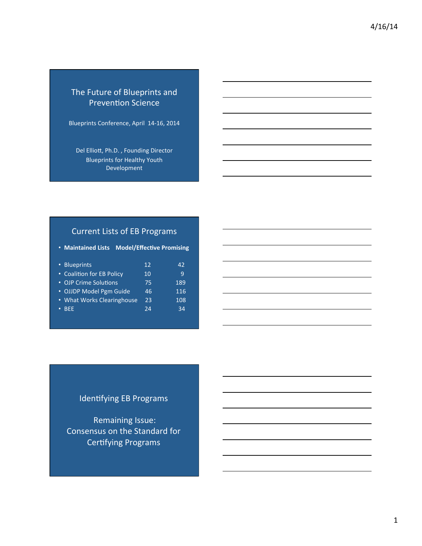# The Future of Blueprints and Prevention Science

Blueprints Conference, April 14-16, 2014

Del Elliott, Ph.D., Founding Director Blueprints for Healthy Youth Development 

# Current Lists of EB Programs

• Maintained Lists Model/Effective Promising

| • Blueprints               | 12 | 42  |
|----------------------------|----|-----|
| • Coalition for EB Policy  | 10 | ٩   |
| • OJP Crime Solutions      | 75 | 189 |
| • OJJDP Model Pgm Guide    | 46 | 116 |
| • What Works Clearinghouse | 23 | 108 |
| <b>BFF</b>                 | 24 | 34  |
|                            |    |     |

# Identifying EB Programs

Remaining Issue: Consensus on the Standard for Certifying Programs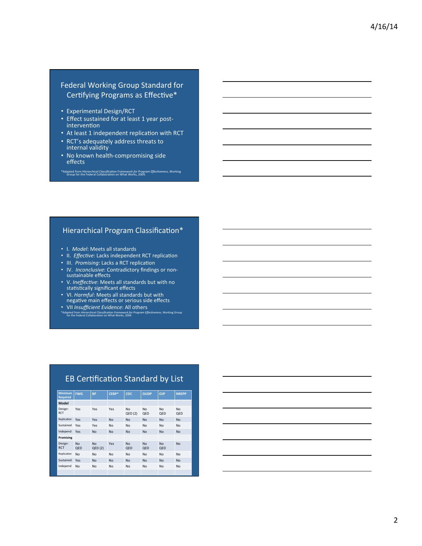### Federal Working Group Standard for Certifying Programs as Effective\*

- Experimental Design/RCT
- Effect sustained for at least 1 year postintervention
- At least 1 independent replication with RCT

\*Adapted from *Hierarchical Classification Framework for Program Effectiveness*, Working Group for the Federal Collaboration on What Works, 2004.

- RCT's adequately address threats to internal validity
- No known health-compromising side effects

#### Hierarchical Program Classification\*

- I. *Model*: Meets all standards
- II. *Effective*: Lacks independent RCT replication
- III. *Promising*: Lacks a RCT replication
- IV. *Inconclusive*: Contradictory findings or non-<br>sustainable effects
- V. *Ineffective*: Meets all standards but with no statistically significant effects
- VI. *Harmful*: Meets all standards but with negative main effects or serious side effects
- VII *Insufficient Evidence*: All others
- \*Adapted from *Hierarchical Classification Framework for Program Effectiveness*, Working Group for the Federal Collaboration on What Works, 2004.

## EB Certification Standard by List

| <b>Minimum</b><br><b>Required</b> | <b>FWG</b>            | <b>BP</b>           | CEBP*     | <b>CDC</b>       | <b>OJJDP</b>     | <b>OJP</b>       | <b>NREPP</b>     |
|-----------------------------------|-----------------------|---------------------|-----------|------------------|------------------|------------------|------------------|
| <b>Model</b>                      |                       |                     |           |                  |                  |                  |                  |
| Design:<br><b>RCT</b>             | Yes                   | Yes                 | Yes       | No<br>QED(2)     | <b>No</b><br>QED | <b>No</b><br>QED | <b>No</b><br>QED |
| Replication                       | Yes                   | Yes                 | <b>No</b> | <b>No</b>        | <b>No</b>        | <b>No</b>        | <b>No</b>        |
| Sustained                         | Yes                   | Yes                 | <b>No</b> | No               | <b>No</b>        | <b>No</b>        | <b>No</b>        |
| Independ                          | Yes                   | <b>No</b>           | <b>No</b> | <b>No</b>        | <b>No</b>        | <b>No</b>        | <b>No</b>        |
| Promising                         |                       |                     |           |                  |                  |                  |                  |
| Design:<br><b>RCT</b>             | N <sub>0</sub><br>QED | <b>No</b><br>QED(2) | Yes       | <b>No</b><br>QED | <b>No</b><br>QED | <b>No</b><br>QED | <b>No</b>        |
| Replication                       | No                    | <b>No</b>           | <b>No</b> | <b>No</b>        | <b>No</b>        | <b>No</b>        | <b>No</b>        |
| Sustained                         | Yes                   | <b>No</b>           | <b>No</b> | <b>No</b>        | <b>No</b>        | <b>No</b>        | <b>No</b>        |
| Independ                          | No                    | <b>No</b>           | <b>No</b> | <b>No</b>        | <b>No</b>        | <b>No</b>        | <b>No</b>        |
|                                   |                       |                     |           |                  |                  |                  |                  |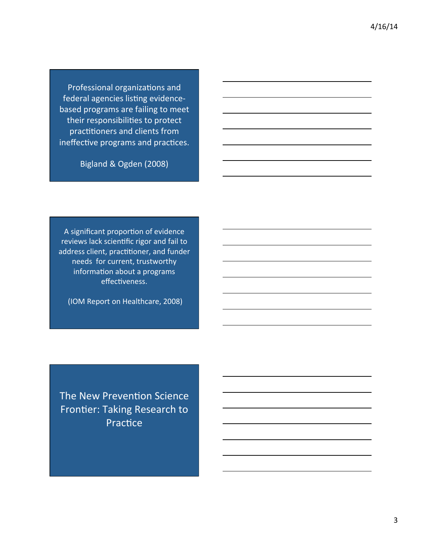Professional organizations and federal agencies listing evidencebased programs are failing to meet their responsibilities to protect practitioners and clients from ineffective programs and practices.

Bigland & Ogden (2008)

A significant proportion of evidence reviews lack scientific rigor and fail to address client, practitioner, and funder needs for current, trustworthy information about a programs effectiveness.

(IOM Report on Healthcare, 2008)

The New Prevention Science Frontier: Taking Research to Practice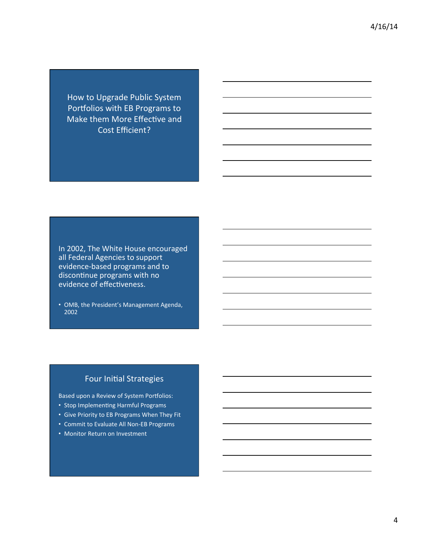How to Upgrade Public System Portfolios with EB Programs to Make them More Effective and Cost Efficient?

In 2002, The White House encouraged all Federal Agencies to support evidence-based programs and to discontinue programs with no evidence of effectiveness.

• OMB, the President's Management Agenda, 2002 

## Four Initial Strategies

Based upon a Review of System Portfolios:

- Stop Implementing Harmful Programs
- Give Priority to EB Programs When They Fit
- Commit to Evaluate All Non-EB Programs
- Monitor Return on Investment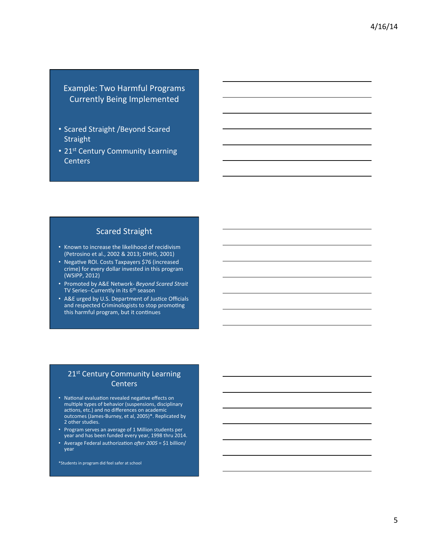Example: Two Harmful Programs Currently Being Implemented 

- Scared Straight / Beyond Scared Straight
- 21<sup>st</sup> Century Community Learning **Centers**

### **Scared Straight**

- Known to increase the likelihood of recidivism (Petrosino et al., 2002 & 2013; DHHS, 2001)
- Negative ROI. Costs Taxpayers \$76 (increased crime) for every dollar invested in this program (WSIPP, 2012)
- Promoted by A&E Network- *Beyond Scared Strait*  TV Series--Currently in its 6<sup>th</sup> season
- A&E urged by U.S. Department of Justice Officials and respected Criminologists to stop promoting this harmful program, but it continues

### 21<sup>st</sup> Century Community Learning **Centers**

- National evaluation revealed negative effects on multiple types of behavior (suspensions, disciplinary actions, etc.) and no differences on academic outcomes (James-Burney, et al, 2005)\*. Replicated by 2 other studies.
- Program serves an average of 1 Million students per year and has been funded every year, 1998 thru 2014.
- Average Federal authorization after 2005 = \$1 billion/ year

\*Students in program did feel safer at school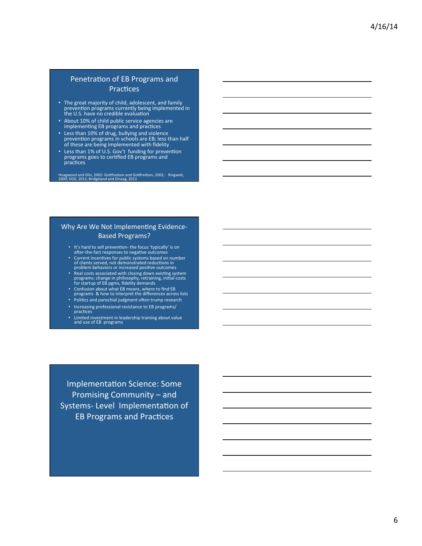#### Penetration of EB Programs and Practices

- The great majority of child, adolescent, and family<br>prevention programs currently being implemented in the U.S. have no credible evaluation
- About 10% of child public service agencies are implementing EB programs and practices
- Less than 10% of drug, bullying and violence<br>prevention programs in schools are EB; less than half of these are being implemented with fidelity
- Less than 1% of U.S. Gov't funding for prevention programs goes to certified EB programs and practices

Hoagwood and Olin, 2002: Gottfredson and Gottfredson, 2002; Ringwalt, 2009; DOE, 2011; Bridgeland and Orszag, 2013

#### Why Are We Not Implementing Evidence-Based Programs?

- It's hard to sell prevention- the focus 'typically' is on<br>after-the-fact responses to negative outcomes
- Current incentives for public systems based on number<br>of clients served, not demonstrated reductions in<br>problem behaviors or increased positive outcomes
- Real costs associated with closing down existing system<br>programs: change in philosophy, retraining, initial costs for startup of EB pgms, fidelity demands
- Confusion about what EB means, where to find EB<br>programs & how to interpret the differences across lists
- Politics and parochial judgment often trump research
- Increasing professional resistance to EB programs/
- practices
- Limited investment in leadership training about value and use of EB programs

Implementation Science: Some Promising Community – and Systems- Level Implementation of **EB Programs and Practices**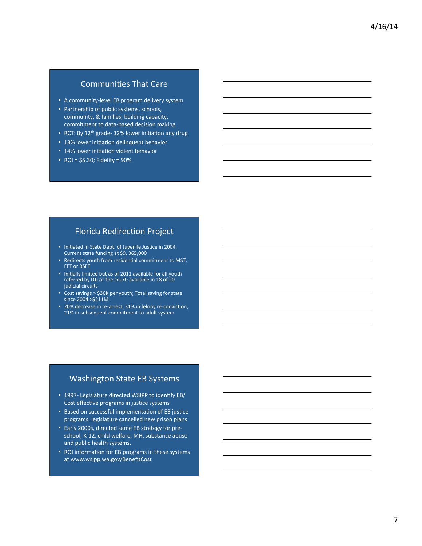# Communities That Care

- A community-level EB program delivery system
- Partnership of public systems, schools, community, & families; building capacity, commitment to data-based decision making
- RCT: By  $12<sup>th</sup>$  grade- 32% lower initiation any drug
- 18% lower initiation delinquent behavior
- 14% lower initiation violent behavior
- ROI =  $$5.30;$  Fidelity =  $90\%$

### Florida Redirection Project

- Initiated in State Dept. of Juvenile Justice in 2004. Current state funding at \$9, 365,000
- Redirects youth from residential commitment to MST, FFT or BSFT
- Initially limited but as of 2011 available for all youth referred by DJJ or the court; available in 18 of 20 judicial circuits
- Cost savings > \$30K per youth; Total saving for state since 2004 >\$211M
- 20% decrease in re-arrest; 31% in felony re-conviction; 21% in subsequent commitment to adult system

#### Washington State EB Systems

- 1997- Legislature directed WSIPP to identify EB/ Cost effective programs in justice systems
- Based on successful implementation of EB justice programs, legislature cancelled new prison plans
- Early 2000s, directed same EB strategy for preschool, K-12, child welfare, MH, substance abuse and public health systems.
- ROI information for EB programs in these systems at www.wsipp.wa.gov/BenefitCost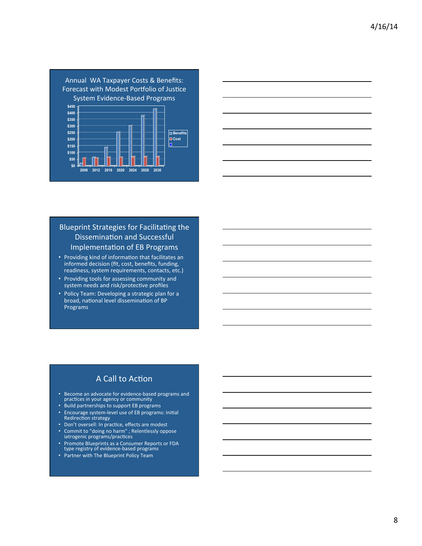



### Blueprint Strategies for Facilitating the Dissemination and Successful Implementation of EB Programs

- Providing kind of information that facilitates an informed decision (fit, cost, benefits, funding, readiness, system requirements, contacts, etc.)
- Providing tools for assessing community and system needs and risk/protective profiles
- Policy Team: Developing a strategic plan for a broad, national level dissemination of BP Programs

# A Call to Action

- Become an advocate for evidence-based programs and<br>practices in your agency or community
- Build partnerships to support EB programs
- Encourage system-level use of EB programs: Initial Redirection strategy
- Don't oversell: In practice, effects are modest
- Commit to "doing no harm" ; Relentlessly oppose iatrogenic programs/practices
- Promote Blueprints as a Consumer Reports or FDA type registry of evidence-based programs
- Partner with The Blueprint Policy Team